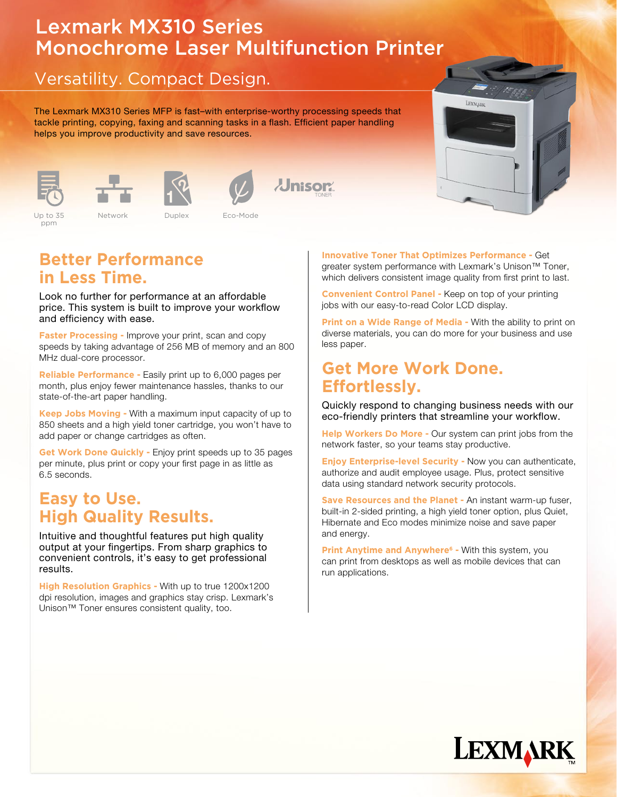# Lexmark MX310 Series Monochrome Laser Multifunction Printer

## Versatility. Compact Design.

The Lexmark MX310 Series MFP is fast–with enterprise-worthy processing speeds that tackle printing, copying, faxing and scanning tasks in a flash. Efficient paper handling helps you improve productivity and save resources.











Color 2.4" LCD Standard

Up to 35ppm Network Eco-mode Security USB

```
Up to 35ppm
           Color 2.4" Lup to 35 Network Duplex Boo-Mode Standard Boom Standard Boom Standard Standard Standard Standard St
    Up to 35 betwork Duplex Eco-Mode
Color 2.4" Lup to 35 Network Duplex Boo-Mode
                Up to 35 Network Duplex Eco-Mode
```
### **Better Performance in Less Time.**

Look no further for performance at an affordable price. This system is built to improve your workflow and efficiency with ease.

**Faster Processing -** Improve your print, scan and copy speeds by taking advantage of 256 MB of memory and an 800 MHz dual-core processor.

**Reliable Performance -** Easily print up to 6,000 pages per month, plus enjoy fewer maintenance hassles, thanks to our state-of-the-art paper handling.

**Keep Jobs Moving -** With a maximum input capacity of up to 850 sheets and a high yield toner cartridge, you won't have to add paper or change cartridges as often.

**Get Work Done Quickly -** Enjoy print speeds up to 35 pages per minute, plus print or copy your first page in as little as 6.5 seconds.

### **Easy to Use. High Quality Results.**

Intuitive and thoughtful features put high quality output at your fingertips. From sharp graphics to convenient controls, it's easy to get professional results.

**High Resolution Graphics -** With up to true 1200x1200 dpi resolution, images and graphics stay crisp. Lexmark's Unison™ Toner ensures consistent quality, too.

**Innovative Toner That Optimizes Performance -** Get greater system performance with Lexmark's Unison<sup>™</sup> Toner, which delivers consistent image quality from first print to last.

 $\Gamma$ 

LEXMARK

**Convenient Control Panel -** Keep on top of your printing jobs with our easy-to-read Color LCD display.

**Print on a Wide Range of Media - With the ability to print on** diverse materials, you can do more for your business and use less paper.

#### **Get More Work Done. Effortlessly.**

Quickly respond to changing business needs with our eco-friendly printers that streamline your workflow.

**Help Workers Do More - Our system can print jobs from the** network faster, so your teams stay productive.

**Enjoy Enterprise-level Security -** Now you can authenticate, authorize and audit employee usage. Plus, protect sensitive data using standard network security protocols.

**Save Resources and the Planet -** An instant warm-up fuser, built-in 2-sided printing, a high yield toner option, plus Quiet, Hibernate and Eco modes minimize noise and save paper and energy.

**Print Anytime and Anywhere<sup>6</sup> - With this system, you** can print from desktops as well as mobile devices that can run applications.